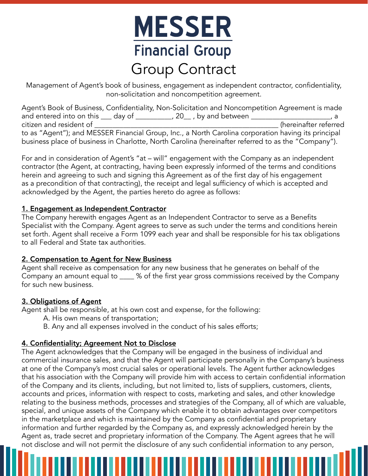# **MESSER Financial Group** Group Contract

Management of Agent's book of business, engagement as independent contractor, confidentiality, non-solicitation and noncompetition agreement.

Agent's Book of Business, Confidentiality, Non-Solicitation and Noncompetition Agreement is made and entered into on this \_\_\_ day of \_\_\_\_\_\_\_\_\_\_, 20\_\_ , by and between \_\_\_\_\_\_\_\_\_\_\_\_\_\_\_\_\_\_\_\_\_\_, a citizen and resident of \_\_\_\_\_\_\_\_\_\_\_\_\_\_\_\_\_\_\_\_\_\_\_\_\_\_\_\_\_\_\_\_\_\_\_\_\_\_\_\_\_\_\_\_\_\_\_\_\_\_\_ (hereinafter referred to as "Agent"); and MESSER Financial Group, Inc., a North Carolina corporation having its principal business place of business in Charlotte, North Carolina (hereinafter referred to as the "Company").

For and in consideration of Agent's "at – will" engagement with the Company as an independent contractor (the Agent, at contracting, having been expressly informed of the terms and conditions herein and agreeing to such and signing this Agreement as of the first day of his engagement as a precondition of that contracting), the receipt and legal sufficiency of which is accepted and acknowledged by the Agent, the parties hereto do agree as follows:

#### 1. Engagement as Independent Contractor

The Company herewith engages Agent as an Independent Contractor to serve as a Benefits Specialist with the Company. Agent agrees to serve as such under the terms and conditions herein set forth. Agent shall receive a Form 1099 each year and shall be responsible for his tax obligations to all Federal and State tax authorities.

#### 2. Compensation to Agent for New Business

Agent shall receive as compensation for any new business that he generates on behalf of the Company an amount equal to \_\_\_\_ % of the first year gross commissions received by the Company for such new business.

#### 3. Obligations of Agent

Agent shall be responsible, at his own cost and expense, for the following:

- A. His own means of transportation;
- B. Any and all expenses involved in the conduct of his sales efforts;

#### 4. Confidentiality; Agreement Not to Disclose

The Agent acknowledges that the Company will be engaged in the business of individual and commercial insurance sales, and that the Agent will participate personally in the Company's business at one of the Company's most crucial sales or operational levels. The Agent further acknowledges that his association with the Company will provide him with access to certain confidential information of the Company and its clients, including, but not limited to, lists of suppliers, customers, clients, accounts and prices, information with respect to costs, marketing and sales, and other knowledge relating to the business methods, processes and strategies of the Company, all of which are valuable, special, and unique assets of the Company which enable it to obtain advantages over competitors in the marketplace and which is maintained by the Company as confidential and proprietary information and further regarded by the Company as, and expressly acknowledged herein by the Agent as, trade secret and proprietary information of the Company. The Agent agrees that he will not disclose and will not permit the disclosure of any such confidential information to any person,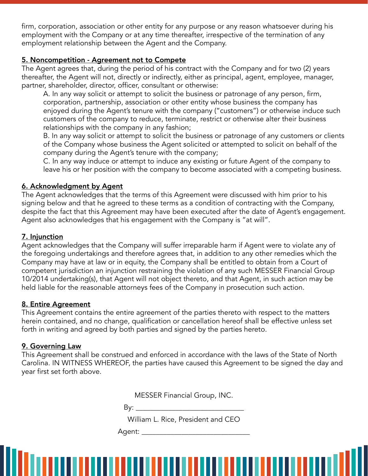firm, corporation, association or other entity for any purpose or any reason whatsoever during his employment with the Company or at any time thereafter, irrespective of the termination of any employment relationship between the Agent and the Company.

#### 5. Noncompetition - Agreement not to Compete

The Agent agrees that, during the period of his contract with the Company and for two (2) years thereafter, the Agent will not, directly or indirectly, either as principal, agent, employee, manager, partner, shareholder, director, officer, consultant or otherwise:

A. In any way solicit or attempt to solicit the business or patronage of any person, firm, corporation, partnership, association or other entity whose business the company has enjoyed during the Agent's tenure with the company ("customers") or otherwise induce such customers of the company to reduce, terminate, restrict or otherwise alter their business relationships with the company in any fashion;

B. In any way solicit or attempt to solicit the business or patronage of any customers or clients of the Company whose business the Agent solicited or attempted to solicit on behalf of the company during the Agent's tenure with the company;

C. In any way induce or attempt to induce any existing or future Agent of the company to leave his or her position with the company to become associated with a competing business.

#### 6. Acknowledgment by Agent

The Agent acknowledges that the terms of this Agreement were discussed with him prior to his signing below and that he agreed to these terms as a condition of contracting with the Company, despite the fact that this Agreement may have been executed after the date of Agent's engagement. Agent also acknowledges that his engagement with the Company is "at will".

#### 7. Injunction

Agent acknowledges that the Company will suffer irreparable harm if Agent were to violate any of the foregoing undertakings and therefore agrees that, in addition to any other remedies which the Company may have at law or in equity, the Company shall be entitled to obtain from a Court of competent jurisdiction an injunction restraining the violation of any such MESSER Financial Group 10/2014 undertaking(s), that Agent will not object thereto, and that Agent, in such action may be held liable for the reasonable attorneys fees of the Company in prosecution such action.

#### 8. Entire Agreement

This Agreement contains the entire agreement of the parties thereto with respect to the matters herein contained, and no change, qualification or cancellation hereof shall be effective unless set forth in writing and agreed by both parties and signed by the parties hereto.

#### 9. Governing Law

This Agreement shall be construed and enforced in accordance with the laws of the State of North Carolina. IN WITNESS WHEREOF, the parties have caused this Agreement to be signed the day and year first set forth above.

MESSER Financial Group, INC.

 $\mathsf{By:}\_\_\_\_\_\_\$ 

William L. Rice, President and CEO

**TITIKI KULTURI** 

Agent: \_\_\_\_\_\_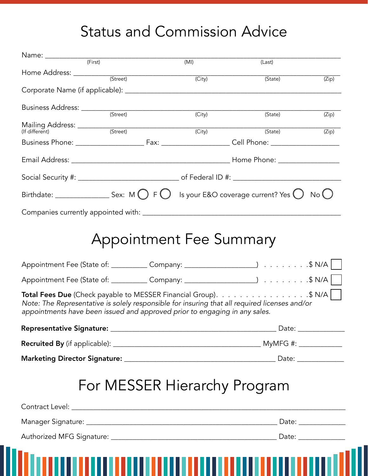## Status and Commission Advice

|                                                                                                                                                                                                                                                            |                                | (MI)                | (Last)  |       |  |  |
|------------------------------------------------------------------------------------------------------------------------------------------------------------------------------------------------------------------------------------------------------------|--------------------------------|---------------------|---------|-------|--|--|
|                                                                                                                                                                                                                                                            |                                | (City)              | (State) | (Zip) |  |  |
|                                                                                                                                                                                                                                                            |                                |                     |         |       |  |  |
|                                                                                                                                                                                                                                                            |                                |                     |         |       |  |  |
| Business Address: <u>Container (Street)</u>                                                                                                                                                                                                                |                                | (City)              | (State) | (Zip) |  |  |
|                                                                                                                                                                                                                                                            |                                | $\overline{(City)}$ | (State) | (Zip) |  |  |
|                                                                                                                                                                                                                                                            |                                |                     |         |       |  |  |
|                                                                                                                                                                                                                                                            |                                |                     |         |       |  |  |
|                                                                                                                                                                                                                                                            |                                |                     |         |       |  |  |
| Birthdate: ______________________ Sex: M $\bigcirc$ F $\bigcirc$ Is your E&O coverage current? Yes $\bigcirc$ No $\bigcirc$                                                                                                                                |                                |                     |         |       |  |  |
|                                                                                                                                                                                                                                                            |                                |                     |         |       |  |  |
|                                                                                                                                                                                                                                                            | <b>Appointment Fee Summary</b> |                     |         |       |  |  |
|                                                                                                                                                                                                                                                            |                                |                     |         |       |  |  |
| <b>Total Fees Due</b> (Check payable to MESSER Financial Group). \$ N/A    <br>Note: The Representative is solely responsible for insuring that all required licenses and/or<br>appointments have been issued and approved prior to engaging in any sales. |                                |                     |         |       |  |  |
|                                                                                                                                                                                                                                                            |                                |                     |         |       |  |  |
|                                                                                                                                                                                                                                                            |                                |                     |         |       |  |  |
|                                                                                                                                                                                                                                                            |                                |                     |         |       |  |  |
|                                                                                                                                                                                                                                                            | For MESSER Hierarchy Program   |                     |         |       |  |  |
|                                                                                                                                                                                                                                                            |                                |                     |         |       |  |  |
|                                                                                                                                                                                                                                                            |                                |                     |         |       |  |  |
|                                                                                                                                                                                                                                                            |                                |                     |         |       |  |  |
|                                                                                                                                                                                                                                                            |                                |                     |         |       |  |  |
| <u> I roman a comunica a manara a l</u>                                                                                                                                                                                                                    |                                |                     |         |       |  |  |
|                                                                                                                                                                                                                                                            |                                |                     |         |       |  |  |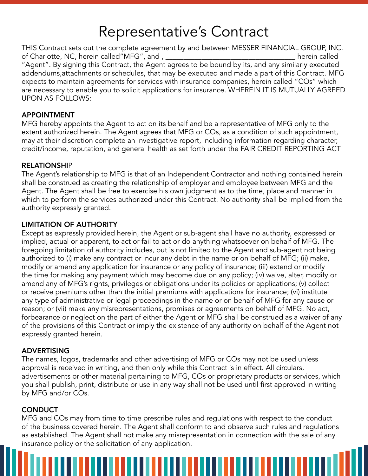### Representative's Contract

THIS Contract sets out the complete agreement by and between MESSER FINANCIAL GROUP, INC. of Charlotte, NC, herein called"MFG", and , \_\_\_\_\_\_\_\_\_\_\_\_\_\_\_\_\_\_\_\_\_\_\_\_\_\_\_\_\_\_\_\_\_\_\_\_ herein called "Agent". By signing this Contract, the Agent agrees to be bound by its, and any similarly executed addendums,attachments or schedules, that may be executed and made a part of this Contract. MFG expects to maintain agreements for services with insurance companies, herein called "COs" which are necessary to enable you to solicit applications for insurance. WHEREIN IT IS MUTUALLY AGREED UPON AS FOLLOWS:

#### APPOINTMENT

MFG hereby appoints the Agent to act on its behalf and be a representative of MFG only to the extent authorized herein. The Agent agrees that MFG or COs, as a condition of such appointment, may at their discretion complete an investigative report, including information regarding character, credit/income, reputation, and general health as set forth under the FAIR CREDIT REPORTING ACT

#### **RELATIONSHIP**

The Agent's relationship to MFG is that of an Independent Contractor and nothing contained herein shall be construed as creating the relationship of employer and employee between MFG and the Agent. The Agent shall be free to exercise his own judgment as to the time, place and manner in which to perform the services authorized under this Contract. No authority shall be implied from the authority expressly granted.

#### LIMITATION OF AUTHORITY

Except as expressly provided herein, the Agent or sub-agent shall have no authority, expressed or implied, actual or apparent, to act or fail to act or do anything whatsoever on behalf of MFG. The foregoing limitation of authority includes, but is not limited to the Agent and sub-agent not being authorized to (i) make any contract or incur any debt in the name or on behalf of MFG; (ii) make, modify or amend any application for insurance or any policy of insurance; (iii) extend or modify the time for making any payment which may become due on any policy; (iv) waive, alter, modify or amend any of MFG's rights, privileges or obligations under its policies or applications; (v) collect or receive premiums other than the initial premiums with applications for insurance; (vi) institute any type of administrative or legal proceedings in the name or on behalf of MFG for any cause or reason; or (vii) make any misrepresentations, promises or agreements on behalf of MFG. No act, forbearance or neglect on the part of either the Agent or MFG shall be construed as a waiver of any of the provisions of this Contract or imply the existence of any authority on behalf of the Agent not expressly granted herein.

#### ADVERTISING

The names, logos, trademarks and other advertising of MFG or COs may not be used unless approval is received in writing, and then only while this Contract is in effect. All circulars, advertisements or other material pertaining to MFG, COs or proprietary products or services, which you shall publish, print, distribute or use in any way shall not be used until first approved in writing by MFG and/or COs.

#### **CONDUCT**

MFG and COs may from time to time prescribe rules and regulations with respect to the conduct of the business covered herein. The Agent shall conform to and observe such rules and regulations as established. The Agent shall not make any misrepresentation in connection with the sale of any insurance policy or the solicitation of any application.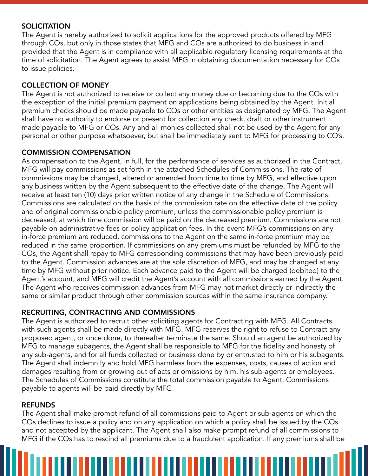#### **SOLICITATION**

The Agent is hereby authorized to solicit applications for the approved products offered by MFG through COs, but only in those states that MFG and COs are authorized to do business in and provided that the Agent is in compliance with all applicable regulatory licensing requirements at the time of solicitation. The Agent agrees to assist MFG in obtaining documentation necessary for COs to issue policies.

#### COLLECTION OF MONEY

The Agent is not authorized to receive or collect any money due or becoming due to the COs with the exception of the initial premium payment on applications being obtained by the Agent. Initial premium checks should be made payable to COs or other entities as designated by MFG. The Agent shall have no authority to endorse or present for collection any check, draft or other instrument made payable to MFG or COs. Any and all monies collected shall not be used by the Agent for any personal or other purpose whatsoever, but shall be immediately sent to MFG for processing to CO's.

#### COMMISSION COMPENSATION

As compensation to the Agent, in full, for the performance of services as authorized in the Contract, MFG will pay commissions as set forth in the attached Schedules of Commissions. The rate of commissions may be changed, altered or amended from time to time by MFG, and effective upon any business written by the Agent subsequent to the effective date of the change. The Agent will receive at least ten (10) days prior written notice of any change in the Schedule of Commissions. Commissions are calculated on the basis of the commission rate on the effective date of the policy and of original commissionable policy premium, unless the commissionable policy premium is decreased, at which time commission will be paid on the decreased premium. Commissions are not payable on administrative fees or policy application fees. In the event MFG's commissions on any in-force premium are reduced, commissions to the Agent on the same in-force premium may be reduced in the same proportion. If commissions on any premiums must be refunded by MFG to the COs, the Agent shall repay to MFG corresponding commissions that may have been previously paid to the Agent. Commission advances are at the sole discretion of MFG, and may be changed at any time by MFG without prior notice. Each advance paid to the Agent will be charged (debited) to the Agent's account, and MFG will credit the Agent's account with all commissions earned by the Agent. The Agent who receives commission advances from MFG may not market directly or indirectly the same or similar product through other commission sources within the same insurance company.

#### RECRUITING, CONTRACTING AND COMMISSIONS

The Agent is authorized to recruit other soliciting agents for Contracting with MFG. All Contracts with such agents shall be made directly with MFG. MFG reserves the right to refuse to Contract any proposed agent, or once done, to thereafter terminate the same. Should an agent be authorized by MFG to manage subagents, the Agent shall be responsible to MFG for the fidelity and honesty of any sub-agents, and for all funds collected or business done by or entrusted to him or his subagents. The Agent shall indemnify and hold MFG harmless from the expenses, costs, causes of action and damages resulting from or growing out of acts or omissions by him, his sub-agents or employees. The Schedules of Commissions constitute the total commission payable to Agent. Commissions payable to agents will be paid directly by MFG.

#### REFUNDS

The Agent shall make prompt refund of all commissions paid to Agent or sub-agents on which the COs declines to issue a policy and on any application on which a policy shall be issued by the COs and not accepted by the applicant. The Agent shall also make prompt refund of all commissions to MFG if the COs has to rescind all premiums due to a fraudulent application. If any premiums shall be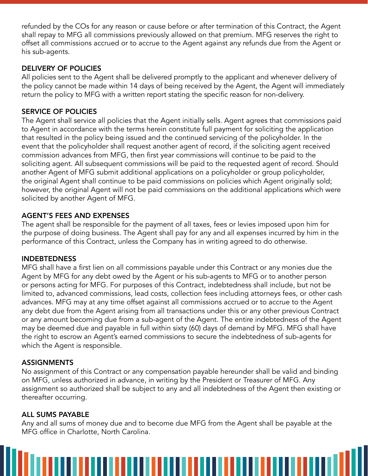refunded by the COs for any reason or cause before or after termination of this Contract, the Agent shall repay to MFG all commissions previously allowed on that premium. MFG reserves the right to offset all commissions accrued or to accrue to the Agent against any refunds due from the Agent or his sub-agents.

#### DELIVERY OF POLICIES

All policies sent to the Agent shall be delivered promptly to the applicant and whenever delivery of the policy cannot be made within 14 days of being received by the Agent, the Agent will immediately return the policy to MFG with a written report stating the specific reason for non-delivery.

#### SERVICE OF POLICIES

The Agent shall service all policies that the Agent initially sells. Agent agrees that commissions paid to Agent in accordance with the terms herein constitute full payment for soliciting the application that resulted in the policy being issued and the continued servicing of the policyholder. In the event that the policyholder shall request another agent of record, if the soliciting agent received commission advances from MFG, then first year commissions will continue to be paid to the soliciting agent. All subsequent commissions will be paid to the requested agent of record. Should another Agent of MFG submit additional applications on a policyholder or group policyholder, the original Agent shall continue to be paid commissions on policies which Agent originally sold; however, the original Agent will not be paid commissions on the additional applications which were solicited by another Agent of MFG.

#### AGENT'S FEES AND EXPENSES

The agent shall be responsible for the payment of all taxes, fees or levies imposed upon him for the purpose of doing business. The Agent shall pay for any and all expenses incurred by him in the performance of this Contract, unless the Company has in writing agreed to do otherwise.

#### INDEBTEDNESS

MFG shall have a first lien on all commissions payable under this Contract or any monies due the Agent by MFG for any debt owed by the Agent or his sub-agents to MFG or to another person or persons acting for MFG. For purposes of this Contract, indebtedness shall include, but not be limited to, advanced commissions, lead costs, collection fees including attorneys fees, or other cash advances. MFG may at any time offset against all commissions accrued or to accrue to the Agent any debt due from the Agent arising from all transactions under this or any other previous Contract or any amount becoming due from a sub-agent of the Agent. The entire indebtedness of the Agent may be deemed due and payable in full within sixty (60) days of demand by MFG. MFG shall have the right to escrow an Agent's earned commissions to secure the indebtedness of sub-agents for which the Agent is responsible.

#### **ASSIGNMENTS**

No assignment of this Contract or any compensation payable hereunder shall be valid and binding on MFG, unless authorized in advance, in writing by the President or Treasurer of MFG. Any assignment so authorized shall be subject to any and all indebtedness of the Agent then existing or thereafter occurring.

#### ALL SUMS PAYABLE

Any and all sums of money due and to become due MFG from the Agent shall be payable at the MFG office in Charlotte, North Carolina.

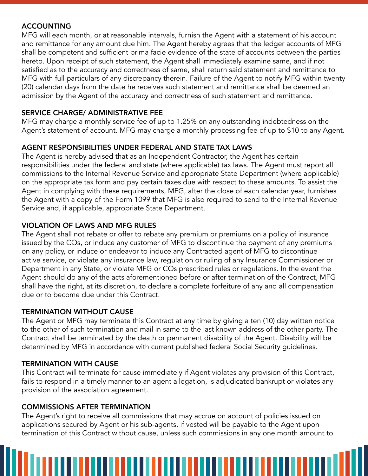#### **ACCOUNTING**

MFG will each month, or at reasonable intervals, furnish the Agent with a statement of his account and remittance for any amount due him. The Agent hereby agrees that the ledger accounts of MFG shall be competent and sufficient prima facie evidence of the state of accounts between the parties hereto. Upon receipt of such statement, the Agent shall immediately examine same, and if not satisfied as to the accuracy and correctness of same, shall return said statement and remittance to MFG with full particulars of any discrepancy therein. Failure of the Agent to notify MFG within twenty (20) calendar days from the date he receives such statement and remittance shall be deemed an admission by the Agent of the accuracy and correctness of such statement and remittance.

#### SERVICE CHARGE/ ADMINISTRATIVE FEE

MFG may charge a monthly service fee of up to 1.25% on any outstanding indebtedness on the Agent's statement of account. MFG may charge a monthly processing fee of up to \$10 to any Agent.

#### AGENT RESPONSIBILITIES UNDER FEDERAL AND STATE TAX LAWS

The Agent is hereby advised that as an Independent Contractor, the Agent has certain responsibilities under the federal and state (where applicable) tax laws. The Agent must report all commissions to the Internal Revenue Service and appropriate State Department (where applicable) on the appropriate tax form and pay certain taxes due with respect to these amounts. To assist the Agent in complying with these requirements, MFG, after the close of each calendar year, furnishes the Agent with a copy of the Form 1099 that MFG is also required to send to the Internal Revenue Service and, if applicable, appropriate State Department.

#### VIOLATION OF LAWS AND MFG RULES

The Agent shall not rebate or offer to rebate any premium or premiums on a policy of insurance issued by the COs, or induce any customer of MFG to discontinue the payment of any premiums on any policy, or induce or endeavor to induce any Contracted agent of MFG to discontinue active service, or violate any insurance law, regulation or ruling of any Insurance Commissioner or Department in any State, or violate MFG or COs prescribed rules or regulations. In the event the Agent should do any of the acts aforementioned before or after termination of the Contract, MFG shall have the right, at its discretion, to declare a complete forfeiture of any and all compensation due or to become due under this Contract.

#### TERMINATION WITHOUT CAUSE

The Agent or MFG may terminate this Contract at any time by giving a ten (10) day written notice to the other of such termination and mail in same to the last known address of the other party. The Contract shall be terminated by the death or permanent disability of the Agent. Disability will be determined by MFG in accordance with current published federal Social Security guidelines.

#### TERMINATION WITH CAUSE

This Contract will terminate for cause immediately if Agent violates any provision of this Contract, fails to respond in a timely manner to an agent allegation, is adjudicated bankrupt or violates any provision of the association agreement.

#### COMMISSIONS AFTER TERMINATION

The Agent's right to receive all commissions that may accrue on account of policies issued on applications secured by Agent or his sub-agents, if vested will be payable to the Agent upon termination of this Contract without cause, unless such commissions in any one month amount to

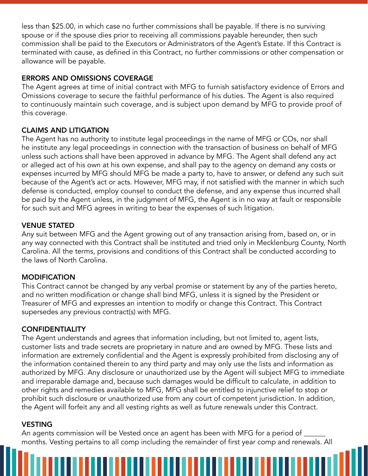less than \$25.00, in which case no further commissions shall be payable. If there is no surviving spouse or if the spouse dies prior to receiving all commissions payable hereunder, then such commission shall be paid to the Executors or Administrators of the Agent's Estate. If this Contract is terminated with cause, as defined in this Contract, no further commissions or other compensation or allowance will be payable.

#### ERRORS AND OMISSIONS COVERAGE

The Agent agrees at time of initial contract with MFG to furnish satisfactory evidence of Errors and Omissions coverage to secure the faithful performance of his duties. The Agent is also required to continuously maintain such coverage, and is subject upon demand by MFG to provide proof of this coverage.

#### CLAIMS AND LITIGATION

The Agent has no authority to institute legal proceedings in the name of MFG or COs, nor shall he institute any legal proceedings in connection with the transaction of business on behalf of MFG unless such actions shall have been approved in advance by MFG. The Agent shall defend any act or alleged act of his own at his own expense, and shall pay to the agency on demand any costs or expenses incurred by MFG should MFG be made a party to, have to answer, or defend any such suit because of the Agent's act or acts. However, MFG may, if not satisfied with the manner in which such defense is conducted, employ counsel to conduct the defense, and any expense thus incurred shall be paid by the Agent unless, in the judgment of MFG, the Agent is in no way at fault or responsible for such suit and MFG agrees in writing to bear the expenses of such litigation.

#### VENUE STATED

Any suit between MFG and the Agent growing out of any transaction arising from, based on, or in any way connected with this Contract shall be instituted and tried only in Mecklenburg County, North Carolina. All the terms, provisions and conditions of this Contract shall be conducted according to the laws of North Carolina.

#### MODIFICATION

This Contract cannot be changed by any verbal promise or statement by any of the parties hereto, and no written modification or change shall bind MFG, unless it is signed by the President or Treasurer of MFG and expresses an intention to modify or change this Contract. This Contract supersedes any previous contract(s) with MFG.

#### **CONFIDENTIALITY**

The Agent understands and agrees that information including, but not limited to, agent lists, customer lists and trade secrets are proprietary in nature and are owned by MFG. These lists and information are extremely confidential and the Agent is expressly prohibited from disclosing any of the information contained therein to any third party and may only use the lists and information as authorized by MFG. Any disclosure or unauthorized use by the Agent will subject MFG to immediate and irreparable damage and, because such damages would be difficult to calculate, in addition to other rights and remedies available to MFG, MFG shall be entitled to injunctive relief to stop or prohibit such disclosure or unauthorized use from any court of competent jurisdiction. In addition, the Agent will forfeit any and all vesting rights as well as future renewals under this Contract.

#### **VESTING**

An agents commission will be Vested once an agent has been with MFG for a period of months. Vesting pertains to all comp including the remainder of first year comp and renewals. All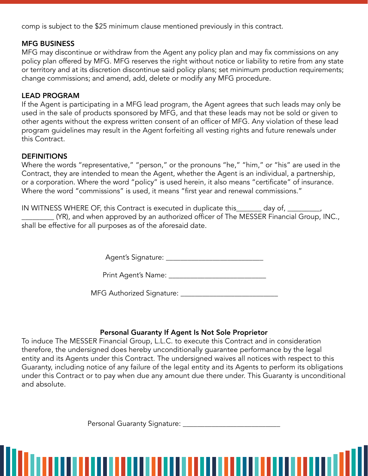comp is subject to the \$25 minimum clause mentioned previously in this contract.

#### MFG BUSINESS

MFG may discontinue or withdraw from the Agent any policy plan and may fix commissions on any policy plan offered by MFG. MFG reserves the right without notice or liability to retire from any state or territory and at its discretion discontinue said policy plans; set minimum production requirements; change commissions; and amend, add, delete or modify any MFG procedure.

#### LEAD PROGRAM

If the Agent is participating in a MFG lead program, the Agent agrees that such leads may only be used in the sale of products sponsored by MFG, and that these leads may not be sold or given to other agents without the express written consent of an officer of MFG. Any violation of these lead program guidelines may result in the Agent forfeiting all vesting rights and future renewals under this Contract.

#### **DEFINITIONS**

Where the words "representative," "person," or the pronouns "he," "him," or "his" are used in the Contract, they are intended to mean the Agent, whether the Agent is an individual, a partnership, or a corporation. Where the word "policy" is used herein, it also means "certificate" of insurance. Where the word "commissions" is used, it means "first year and renewal commissions."

IN WITNESS WHERE OF, this Contract is executed in duplicate this\_\_\_\_\_\_\_ day of, \_\_\_\_\_\_\_\_\_,  $\_$  (YR), and when approved by an authorized officer of The MESSER Financial Group, INC., shall be effective for all purposes as of the aforesaid date.

Agent's Signature: \_\_\_\_\_\_\_\_\_\_\_\_\_\_\_\_\_\_\_\_\_\_\_\_\_\_\_

MFG Authorized Signature: \_\_\_\_\_\_\_\_\_\_\_\_\_\_\_\_\_\_\_\_\_\_\_\_\_\_\_

#### Personal Guaranty If Agent Is Not Sole Proprietor

To induce The MESSER Financial Group, L.L.C. to execute this Contract and in consideration therefore, the undersigned does hereby unconditionally guarantee performance by the legal entity and its Agents under this Contract. The undersigned waives all notices with respect to this Guaranty, including notice of any failure of the legal entity and its Agents to perform its obligations under this Contract or to pay when due any amount due there under. This Guaranty is unconditional and absolute.

Personal Guaranty Signature: \_\_\_\_\_\_\_\_\_\_\_\_\_\_\_\_\_\_\_\_\_\_\_\_\_\_\_